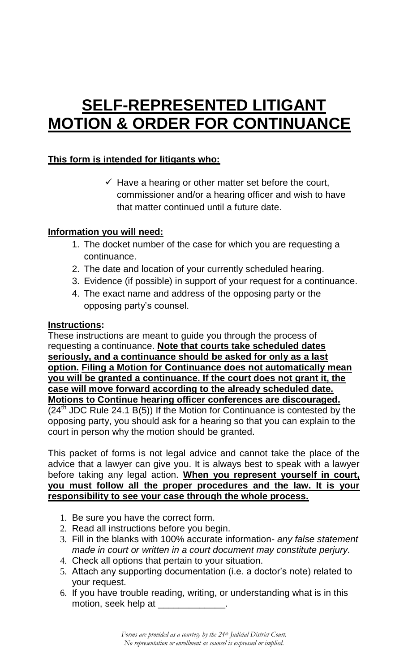# **SELF-REPRESENTED LITIGANT MOTION & ORDER FOR CONTINUANCE**

## **This form is intended for litigants who:**

 $\checkmark$  Have a hearing or other matter set before the court, commissioner and/or a hearing officer and wish to have that matter continued until a future date.

### **Information you will need:**

- 1. The docket number of the case for which you are requesting a continuance.
- 2. The date and location of your currently scheduled hearing.
- 3. Evidence (if possible) in support of your request for a continuance.
- 4. The exact name and address of the opposing party or the opposing party's counsel.

#### **Instructions:**

These instructions are meant to guide you through the process of requesting a continuance. **Note that courts take scheduled dates seriously, and a continuance should be asked for only as a last option. Filing a Motion for Continuance does not automatically mean you will be granted a continuance. If the court does not grant it, the case will move forward according to the already scheduled date. Motions to Continue hearing officer conferences are discouraged.**  $(24<sup>th</sup>$  JDC Rule 24.1 B(5)) If the Motion for Continuance is contested by the opposing party, you should ask for a hearing so that you can explain to the court in person why the motion should be granted.

This packet of forms is not legal advice and cannot take the place of the advice that a lawyer can give you. It is always best to speak with a lawyer before taking any legal action. **When you represent yourself in court, you must follow all the proper procedures and the law. It is your responsibility to see your case through the whole process.** 

- 1. Be sure you have the correct form.
- 2. Read all instructions before you begin.
- 3. Fill in the blanks with 100% accurate information- *any false statement made in court or written in a court document may constitute perjury.*
- 4. Check all options that pertain to your situation.
- 5. Attach any supporting documentation (i.e. a doctor's note) related to your request.
- 6. If you have trouble reading, writing, or understanding what is in this motion, seek help at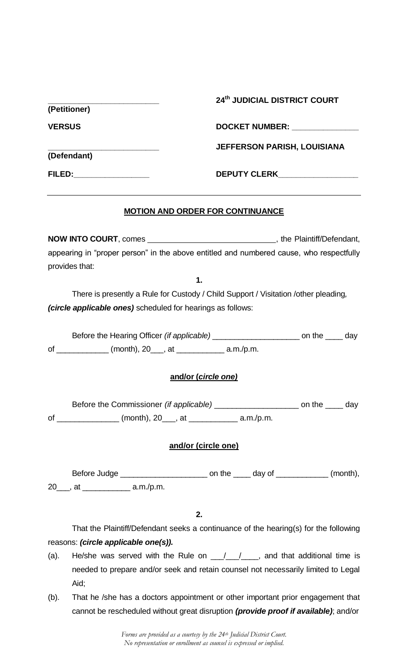|               |                                                                                               | 24th JUDICIAL DISTRICT COURT                                                                                                                             |  |  |  |
|---------------|-----------------------------------------------------------------------------------------------|----------------------------------------------------------------------------------------------------------------------------------------------------------|--|--|--|
|               | (Petitioner)                                                                                  |                                                                                                                                                          |  |  |  |
| <b>VERSUS</b> |                                                                                               | DOCKET NUMBER: National Action of the Magnetic Property of the Magnetic Property of the Magnetic Property of the Ma                                      |  |  |  |
|               |                                                                                               | <b>JEFFERSON PARISH, LOUISIANA</b>                                                                                                                       |  |  |  |
|               | (Defendant)                                                                                   |                                                                                                                                                          |  |  |  |
|               | FILED:___________________                                                                     | DEPUTY CLERK___________________                                                                                                                          |  |  |  |
|               |                                                                                               | <b>MOTION AND ORDER FOR CONTINUANCE</b>                                                                                                                  |  |  |  |
|               |                                                                                               |                                                                                                                                                          |  |  |  |
|               |                                                                                               | appearing in "proper person" in the above entitled and numbered cause, who respectfully                                                                  |  |  |  |
|               | provides that:                                                                                |                                                                                                                                                          |  |  |  |
|               |                                                                                               | 1.                                                                                                                                                       |  |  |  |
|               |                                                                                               | There is presently a Rule for Custody / Child Support / Visitation / other pleading,                                                                     |  |  |  |
|               | (circle applicable ones) scheduled for hearings as follows:                                   |                                                                                                                                                          |  |  |  |
|               |                                                                                               | Before the Hearing Officer (if applicable) ________________________ on the _____ day                                                                     |  |  |  |
|               | of ______________ (month), 20____, at ______________ a.m./p.m.                                |                                                                                                                                                          |  |  |  |
|               |                                                                                               |                                                                                                                                                          |  |  |  |
|               |                                                                                               | and/or (circle one)                                                                                                                                      |  |  |  |
|               |                                                                                               | Before the Commissioner <i>(if applicable)</i> ______________________ on the _____ day                                                                   |  |  |  |
|               | of _________________ (month), 20____, at _____________ a.m./p.m.                              |                                                                                                                                                          |  |  |  |
|               |                                                                                               |                                                                                                                                                          |  |  |  |
|               |                                                                                               | and/or (circle one)                                                                                                                                      |  |  |  |
|               |                                                                                               |                                                                                                                                                          |  |  |  |
|               | 20 ___, at _________________ a.m./p.m.                                                        |                                                                                                                                                          |  |  |  |
|               |                                                                                               |                                                                                                                                                          |  |  |  |
|               |                                                                                               | 2.                                                                                                                                                       |  |  |  |
|               |                                                                                               | That the Plaintiff/Defendant seeks a continuance of the hearing(s) for the following                                                                     |  |  |  |
|               | reasons: (circle applicable one(s)).                                                          |                                                                                                                                                          |  |  |  |
|               | He/she was served with the Rule on $\frac{1}{\sqrt{2}}$ , and that additional time is<br>(a). |                                                                                                                                                          |  |  |  |
|               | Aid;                                                                                          | needed to prepare and/or seek and retain counsel not necessarily limited to Legal                                                                        |  |  |  |
| $(b)$ .       |                                                                                               | That he /she has a doctors appointment or other important prior engagement that                                                                          |  |  |  |
|               |                                                                                               | cannot be rescheduled without great disruption (provide proof if available); and/or                                                                      |  |  |  |
|               |                                                                                               |                                                                                                                                                          |  |  |  |
|               |                                                                                               | Forms are provided as a courtesy by the 24 <sup>th</sup> Judicial District Court.<br>No representation or enrollment as counsel is expressed or implied. |  |  |  |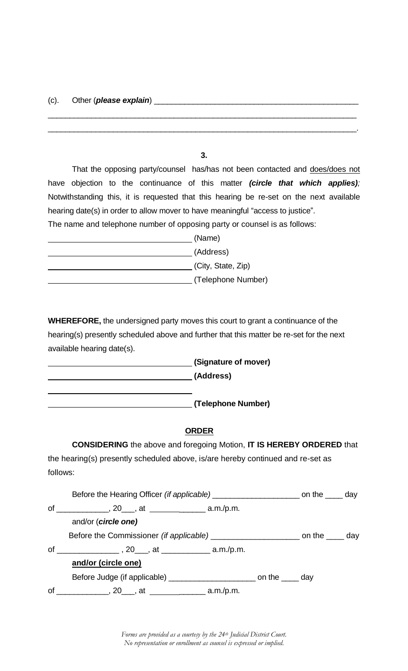**3.**

\_\_\_\_\_\_\_\_\_\_\_\_\_\_\_\_\_\_\_\_\_\_\_\_\_\_\_\_\_\_\_\_\_\_\_\_\_\_\_\_\_\_\_\_\_\_\_\_\_\_\_\_\_\_\_\_\_\_\_\_\_\_\_\_\_\_\_\_\_\_\_

\_\_\_\_\_\_\_\_\_\_\_\_\_\_\_\_\_\_\_\_\_\_\_\_\_\_\_\_\_\_\_\_\_\_\_\_\_\_\_\_\_\_\_\_\_\_\_\_\_\_\_\_\_\_\_\_\_\_\_\_\_\_\_\_\_\_\_\_\_\_\_.

 That the opposing party/counsel has/has not been contacted and does/does not have objection to the continuance of this matter *(circle that which applies);* Notwithstanding this, it is requested that this hearing be re-set on the next available hearing date(s) in order to allow mover to have meaningful "access to justice". The name and telephone number of opposing party or counsel is as follows:

| (Name)             |
|--------------------|
| (Address)          |
| (City, State, Zip) |
| (Telephone Number) |

**WHEREFORE,** the undersigned party moves this court to grant a continuance of the hearing(s) presently scheduled above and further that this matter be re-set for the next available hearing date(s).

**(Signature of mover) (Address) (Telephone Number)**

#### **ORDER**

**CONSIDERING** the above and foregoing Motion, **IT IS HEREBY ORDERED** that the hearing(s) presently scheduled above, is/are hereby continued and re-set as follows:

|    | and/or (circle one)                                                                   |  |  |  |  |
|----|---------------------------------------------------------------------------------------|--|--|--|--|
|    | Before the Commissioner <i>(if applicable)</i> _____________________ on the _____ day |  |  |  |  |
|    |                                                                                       |  |  |  |  |
|    | and/or (circle one)                                                                   |  |  |  |  |
|    |                                                                                       |  |  |  |  |
| of |                                                                                       |  |  |  |  |